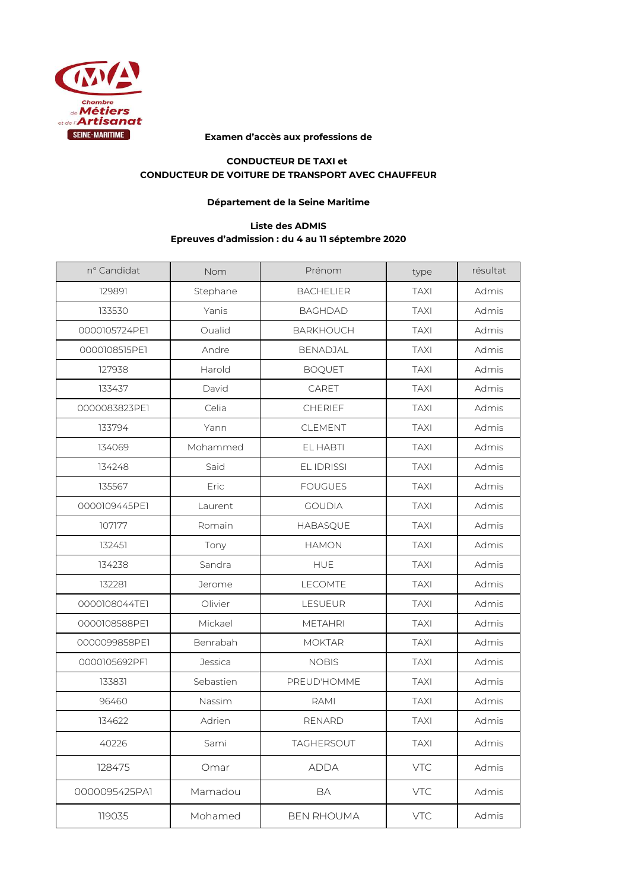

## **Examen d'accès aux professions de**

## **CONDUCTEUR DE TAXI et CONDUCTEUR DE VOITURE DE TRANSPORT AVEC CHAUFFEUR**

## **Département de la Seine Maritime**

## **Liste des ADMIS Epreuves d'admission : du 4 au 11 séptembre 2020**

| nº Candidat   | Nom       | Prénom            | type        | résultat |
|---------------|-----------|-------------------|-------------|----------|
| 129891        | Stephane  | <b>BACHELIER</b>  | <b>TAXI</b> | Admis    |
| 133530        | Yanis     | <b>BAGHDAD</b>    | <b>TAXI</b> | Admis    |
| 0000105724PE1 | Oualid    | <b>BARKHOUCH</b>  | <b>TAXI</b> | Admis    |
| 0000108515PE1 | Andre     | <b>BENADJAL</b>   | <b>TAXI</b> | Admis    |
| 127938        | Harold    | <b>BOQUET</b>     | <b>TAXI</b> | Admis    |
| 133437        | David     | CARET             | <b>TAXI</b> | Admis    |
| 0000083823PE1 | Celia     | CHERIEF           | <b>TAXI</b> | Admis    |
| 133794        | Yann      | CLEMENT           | <b>TAXI</b> | Admis    |
| 134069        | Mohammed  | EL HABTI          | <b>TAXI</b> | Admis    |
| 134248        | Said      | <b>EL IDRISSI</b> | <b>TAXI</b> | Admis    |
| 135567        | Eric      | <b>FOUGUES</b>    | <b>TAXI</b> | Admis    |
| 0000109445PE1 | Laurent   | <b>GOUDIA</b>     | <b>TAXI</b> | Admis    |
| 107177        | Romain    | <b>HABASQUE</b>   | <b>TAXI</b> | Admis    |
| 132451        | Tony      | <b>HAMON</b>      | <b>TAXI</b> | Admis    |
| 134238        | Sandra    | <b>HUE</b>        | <b>TAXI</b> | Admis    |
| 132281        | Jerome    | <b>LECOMTE</b>    | <b>TAXI</b> | Admis    |
| 0000108044TE1 | Olivier   | LESUEUR           | <b>TAXI</b> | Admis    |
| 0000108588PE1 | Mickael   | <b>METAHRI</b>    | <b>TAXI</b> | Admis    |
| 0000099858PE1 | Benrabah  | <b>MOKTAR</b>     | <b>TAXI</b> | Admis    |
| 0000105692PF1 | Jessica   | <b>NOBIS</b>      | <b>TAXI</b> | Admis    |
| 133831        | Sebastien | PREUD'HOMME       | <b>TAXI</b> | Admis    |
| 96460         | Nassim    | RAMI              | <b>TAXI</b> | Admis    |
| 134622        | Adrien    | <b>RENARD</b>     | <b>TAXI</b> | Admis    |
| 40226         | Sami      | TAGHERSOUT        | <b>TAXI</b> | Admis    |
| 128475        | Omar      | <b>ADDA</b>       | <b>VTC</b>  | Admis    |
| 0000095425PA1 | Mamadou   | BA                | <b>VTC</b>  | Admis    |
| 119035        | Mohamed   | <b>BEN RHOUMA</b> | VTC         | Admis    |